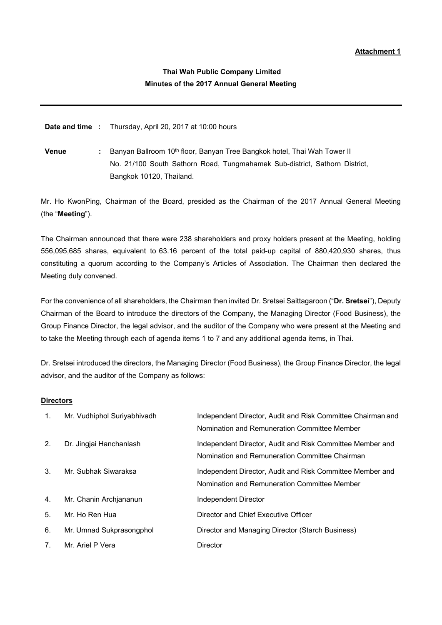# **Thai Wah Public Company Limited Minutes of the 2017 Annual General Meeting**

**Date and time :** Thursday, April 20, 2017 at 10:00 hours

**Venue** : Banyan Ballroom 10<sup>th</sup> floor, Banyan Tree Bangkok hotel, Thai Wah Tower II No. 21/100 South Sathorn Road, Tungmahamek Sub-district, Sathorn District, Bangkok 10120, Thailand.

Mr. Ho KwonPing, Chairman of the Board, presided as the Chairman of the 2017 Annual General Meeting (the "**Meeting**").

The Chairman announced that there were 238 shareholders and proxy holders present at the Meeting, holding 556,095,685 shares, equivalent to 63.16 percent of the total paid-up capital of 880,420,930 shares, thus constituting a quorum according to the Company's Articles of Association. The Chairman then declared the Meeting duly convened.

For the convenience of all shareholders, the Chairman then invited Dr. Sretsei Saittagaroon ("**Dr. Sretsei**"), Deputy Chairman of the Board to introduce the directors of the Company, the Managing Director (Food Business), the Group Finance Director, the legal advisor, and the auditor of the Company who were present at the Meeting and to take the Meeting through each of agenda items 1 to 7 and any additional agenda items, in Thai.

Dr. Sretsei introduced the directors, the Managing Director (Food Business), the Group Finance Director, the legal advisor, and the auditor of the Company as follows:

### **Directors**

| $1_{\cdot}$    | Mr. Vudhiphol Suriyabhivadh | Independent Director, Audit and Risk Committee Chairman and<br>Nomination and Remuneration Committee Member |
|----------------|-----------------------------|-------------------------------------------------------------------------------------------------------------|
| 2.             | Dr. Jingjai Hanchanlash     | Independent Director, Audit and Risk Committee Member and<br>Nomination and Remuneration Committee Chairman |
| 3.             | Mr. Subhak Siwaraksa        | Independent Director, Audit and Risk Committee Member and<br>Nomination and Remuneration Committee Member   |
| 4.             | Mr. Chanin Archjananun      | Independent Director                                                                                        |
| 5.             | Mr. Ho Ren Hua              | Director and Chief Executive Officer                                                                        |
| 6.             | Mr. Umnad Sukprasongphol    | Director and Managing Director (Starch Business)                                                            |
| 7 <sub>1</sub> | Mr. Ariel P Vera            | Director                                                                                                    |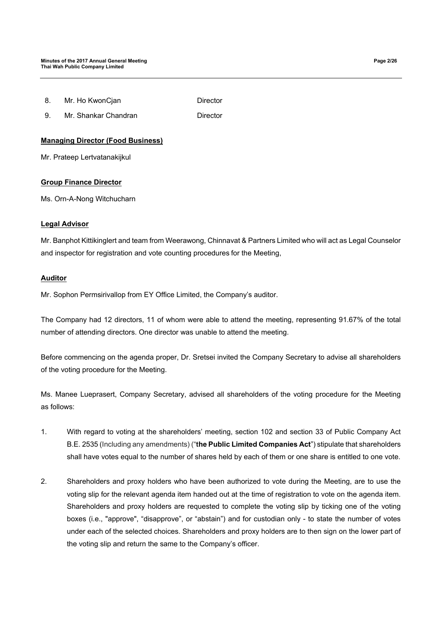9. Mr. Shankar Chandran **Director** 

# **Managing Director (Food Business)**

Mr. Prateep Lertvatanakijkul

## **Group Finance Director**

Ms. Orn-A-Nong Witchucharn

## **Legal Advisor**

Mr. Banphot Kittikinglert and team from Weerawong, Chinnavat & Partners Limited who will act as Legal Counselor and inspector for registration and vote counting procedures for the Meeting,

## **Auditor**

Mr. Sophon Permsirivallop from EY Office Limited, the Company's auditor.

The Company had 12 directors, 11 of whom were able to attend the meeting, representing 91.67% of the total number of attending directors. One director was unable to attend the meeting.

Before commencing on the agenda proper, Dr. Sretsei invited the Company Secretary to advise all shareholders of the voting procedure for the Meeting.

Ms. Manee Lueprasert, Company Secretary, advised all shareholders of the voting procedure for the Meeting as follows:

- 1. With regard to voting at the shareholders' meeting, section 102 and section 33 of Public Company Act B.E. 2535 (Including any amendments) ("**the Public Limited Companies Act**") stipulate that shareholders shall have votes equal to the number of shares held by each of them or one share is entitled to one vote.
- 2. Shareholders and proxy holders who have been authorized to vote during the Meeting, are to use the voting slip for the relevant agenda item handed out at the time of registration to vote on the agenda item. Shareholders and proxy holders are requested to complete the voting slip by ticking one of the voting boxes (i.e., "approve", "disapprove", or "abstain") and for custodian only - to state the number of votes under each of the selected choices. Shareholders and proxy holders are to then sign on the lower part of the voting slip and return the same to the Company's officer.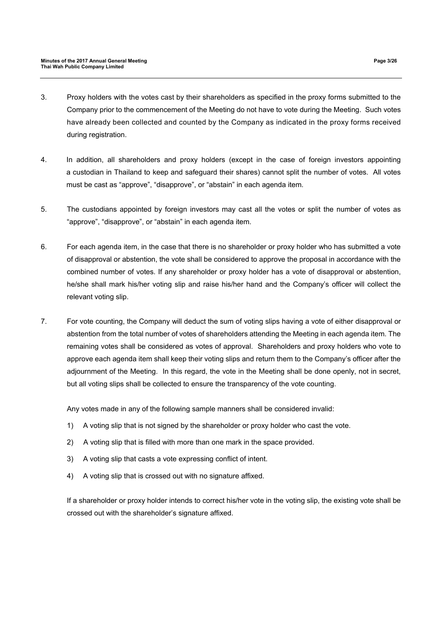- 3. Proxy holders with the votes cast by their shareholders as specified in the proxy forms submitted to the Company prior to the commencement of the Meeting do not have to vote during the Meeting. Such votes have already been collected and counted by the Company as indicated in the proxy forms received during registration.
- 4. In addition, all shareholders and proxy holders (except in the case of foreign investors appointing a custodian in Thailand to keep and safeguard their shares) cannot split the number of votes. All votes must be cast as "approve", "disapprove", or "abstain" in each agenda item.
- 5. The custodians appointed by foreign investors may cast all the votes or split the number of votes as "approve", "disapprove", or "abstain" in each agenda item.
- 6. For each agenda item, in the case that there is no shareholder or proxy holder who has submitted a vote of disapproval or abstention, the vote shall be considered to approve the proposal in accordance with the combined number of votes. If any shareholder or proxy holder has a vote of disapproval or abstention, he/she shall mark his/her voting slip and raise his/her hand and the Company's officer will collect the relevant voting slip.
- 7. For vote counting, the Company will deduct the sum of voting slips having a vote of either disapproval or abstention from the total number of votes of shareholders attending the Meeting in each agenda item. The remaining votes shall be considered as votes of approval. Shareholders and proxy holders who vote to approve each agenda item shall keep their voting slips and return them to the Company's officer after the adjournment of the Meeting. In this regard, the vote in the Meeting shall be done openly, not in secret, but all voting slips shall be collected to ensure the transparency of the vote counting.

Any votes made in any of the following sample manners shall be considered invalid:

- 1) A voting slip that is not signed by the shareholder or proxy holder who cast the vote.
- 2) A voting slip that is filled with more than one mark in the space provided.
- 3) A voting slip that casts a vote expressing conflict of intent.
- 4) A voting slip that is crossed out with no signature affixed.

If a shareholder or proxy holder intends to correct his/her vote in the voting slip, the existing vote shall be crossed out with the shareholder's signature affixed.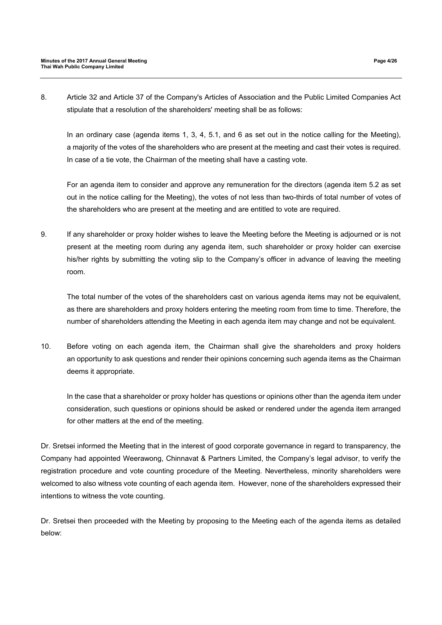8. Article 32 and Article 37 of the Company's Articles of Association and the Public Limited Companies Act stipulate that a resolution of the shareholders' meeting shall be as follows:

In an ordinary case (agenda items 1, 3, 4, 5.1, and 6 as set out in the notice calling for the Meeting), a majority of the votes of the shareholders who are present at the meeting and cast their votes is required. In case of a tie vote, the Chairman of the meeting shall have a casting vote.

For an agenda item to consider and approve any remuneration for the directors (agenda item 5.2 as set out in the notice calling for the Meeting), the votes of not less than two-thirds of total number of votes of the shareholders who are present at the meeting and are entitled to vote are required.

9. If any shareholder or proxy holder wishes to leave the Meeting before the Meeting is adjourned or is not present at the meeting room during any agenda item, such shareholder or proxy holder can exercise his/her rights by submitting the voting slip to the Company's officer in advance of leaving the meeting room.

The total number of the votes of the shareholders cast on various agenda items may not be equivalent, as there are shareholders and proxy holders entering the meeting room from time to time. Therefore, the number of shareholders attending the Meeting in each agenda item may change and not be equivalent.

10. Before voting on each agenda item, the Chairman shall give the shareholders and proxy holders an opportunity to ask questions and render their opinions concerning such agenda items as the Chairman deems it appropriate.

In the case that a shareholder or proxy holder has questions or opinions other than the agenda item under consideration, such questions or opinions should be asked or rendered under the agenda item arranged for other matters at the end of the meeting.

Dr. Sretsei informed the Meeting that in the interest of good corporate governance in regard to transparency, the Company had appointed Weerawong, Chinnavat & Partners Limited, the Company's legal advisor, to verify the registration procedure and vote counting procedure of the Meeting. Nevertheless, minority shareholders were welcomed to also witness vote counting of each agenda item. However, none of the shareholders expressed their intentions to witness the vote counting.

Dr. Sretsei then proceeded with the Meeting by proposing to the Meeting each of the agenda items as detailed below: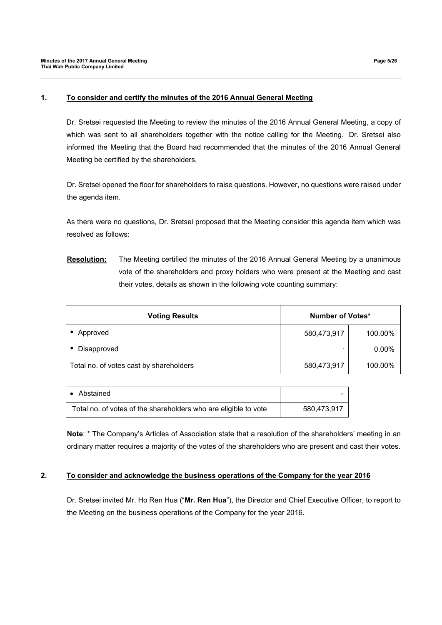### **1. To consider and certify the minutes of the 2016 Annual General Meeting**

Dr. Sretsei requested the Meeting to review the minutes of the 2016 Annual General Meeting, a copy of which was sent to all shareholders together with the notice calling for the Meeting. Dr. Sretsei also informed the Meeting that the Board had recommended that the minutes of the 2016 Annual General Meeting be certified by the shareholders.

Dr. Sretsei opened the floor for shareholders to raise questions. However, no questions were raised under the agenda item.

As there were no questions, Dr. Sretsei proposed that the Meeting consider this agenda item which was resolved as follows:

**Resolution:** The Meeting certified the minutes of the 2016 Annual General Meeting by a unanimous vote of the shareholders and proxy holders who were present at the Meeting and cast their votes, details as shown in the following vote counting summary:

| <b>Voting Results</b>                   | Number of Votes* |          |
|-----------------------------------------|------------------|----------|
| Approved                                | 580,473,917      | 100.00%  |
| • Disapproved                           |                  | $0.00\%$ |
| Total no. of votes cast by shareholders | 580,473,917      | 100.00%  |

| • Abstained                                                     |             |
|-----------------------------------------------------------------|-------------|
| Total no. of votes of the shareholders who are eligible to vote | 580,473,917 |

**Note**: \* The Company's Articles of Association state that a resolution of the shareholders' meeting in an ordinary matter requires a majority of the votes of the shareholders who are present and cast their votes.

### **2. To consider and acknowledge the business operations of the Company for the year 2016**

Dr. Sretsei invited Mr. Ho Ren Hua ("**Mr. Ren Hua**"), the Director and Chief Executive Officer, to report to the Meeting on the business operations of the Company for the year 2016.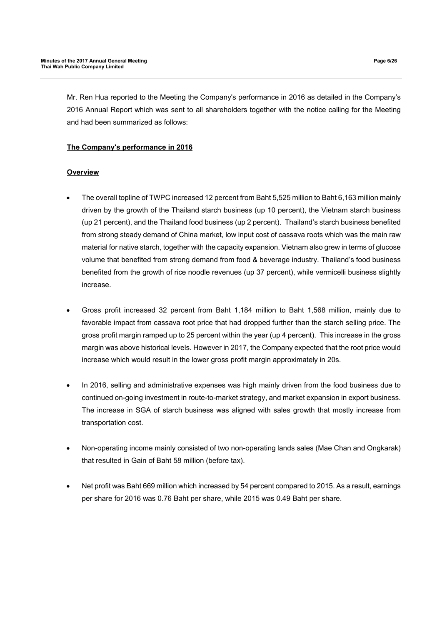Mr. Ren Hua reported to the Meeting the Company's performance in 2016 as detailed in the Company's 2016 Annual Report which was sent to all shareholders together with the notice calling for the Meeting and had been summarized as follows:

## **The Company's performance in 2016**

## **Overview**

- The overall topline of TWPC increased 12 percent from Baht 5,525 million to Baht 6,163 million mainly driven by the growth of the Thailand starch business (up 10 percent), the Vietnam starch business (up 21 percent), and the Thailand food business (up 2 percent). Thailand's starch business benefited from strong steady demand of China market, low input cost of cassava roots which was the main raw material for native starch, together with the capacity expansion. Vietnam also grew in terms of glucose volume that benefited from strong demand from food & beverage industry. Thailand's food business benefited from the growth of rice noodle revenues (up 37 percent), while vermicelli business slightly increase.
- Gross profit increased 32 percent from Baht 1,184 million to Baht 1,568 million, mainly due to favorable impact from cassava root price that had dropped further than the starch selling price. The gross profit margin ramped up to 25 percent within the year (up 4 percent). This increase in the gross margin was above historical levels. However in 2017, the Company expected that the root price would increase which would result in the lower gross profit margin approximately in 20s.
- In 2016, selling and administrative expenses was high mainly driven from the food business due to continued on-going investment in route-to-market strategy, and market expansion in export business. The increase in SGA of starch business was aligned with sales growth that mostly increase from transportation cost.
- Non-operating income mainly consisted of two non-operating lands sales (Mae Chan and Ongkarak) that resulted in Gain of Baht 58 million (before tax).
- Net profit was Baht 669 million which increased by 54 percent compared to 2015. As a result, earnings per share for 2016 was 0.76 Baht per share, while 2015 was 0.49 Baht per share.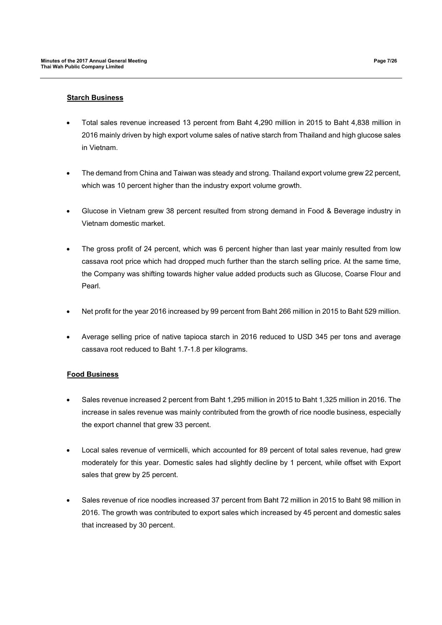### **Starch Business**

- Total sales revenue increased 13 percent from Baht 4,290 million in 2015 to Baht 4,838 million in 2016 mainly driven by high export volume sales of native starch from Thailand and high glucose sales in Vietnam.
- The demand from China and Taiwan was steady and strong. Thailand export volume grew 22 percent, which was 10 percent higher than the industry export volume growth.
- Glucose in Vietnam grew 38 percent resulted from strong demand in Food & Beverage industry in Vietnam domestic market.
- The gross profit of 24 percent, which was 6 percent higher than last year mainly resulted from low cassava root price which had dropped much further than the starch selling price. At the same time, the Company was shifting towards higher value added products such as Glucose, Coarse Flour and Pearl.
- Net profit for the year 2016 increased by 99 percent from Baht 266 million in 2015 to Baht 529 million.
- Average selling price of native tapioca starch in 2016 reduced to USD 345 per tons and average cassava root reduced to Baht 1.7-1.8 per kilograms.

## **Food Business**

- Sales revenue increased 2 percent from Baht 1,295 million in 2015 to Baht 1,325 million in 2016. The increase in sales revenue was mainly contributed from the growth of rice noodle business, especially the export channel that grew 33 percent.
- Local sales revenue of vermicelli, which accounted for 89 percent of total sales revenue, had grew moderately for this year. Domestic sales had slightly decline by 1 percent, while offset with Export sales that grew by 25 percent.
- Sales revenue of rice noodles increased 37 percent from Baht 72 million in 2015 to Baht 98 million in 2016. The growth was contributed to export sales which increased by 45 percent and domestic sales that increased by 30 percent.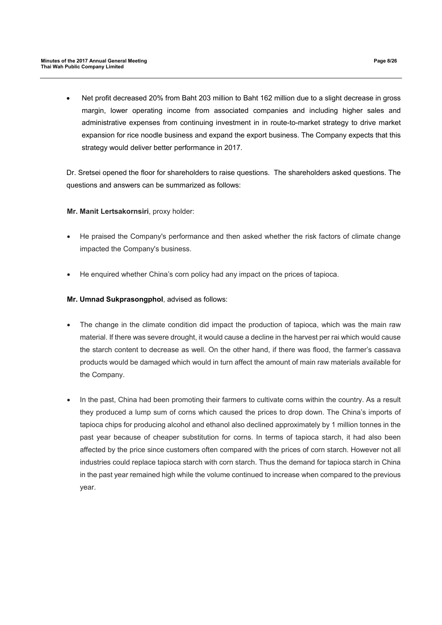Net profit decreased 20% from Baht 203 million to Baht 162 million due to a slight decrease in gross margin, lower operating income from associated companies and including higher sales and administrative expenses from continuing investment in in route-to-market strategy to drive market expansion for rice noodle business and expand the export business. The Company expects that this strategy would deliver better performance in 2017.

Dr. Sretsei opened the floor for shareholders to raise questions. The shareholders asked questions. The questions and answers can be summarized as follows:

## **Mr. Manit Lertsakornsiri**, proxy holder:

- He praised the Company's performance and then asked whether the risk factors of climate change impacted the Company's business.
- He enquired whether China's corn policy had any impact on the prices of tapioca.

## **Mr. Umnad Sukprasongphol**, advised as follows:

- The change in the climate condition did impact the production of tapioca, which was the main raw material. If there was severe drought, it would cause a decline in the harvest per rai which would cause the starch content to decrease as well. On the other hand, if there was flood, the farmer's cassava products would be damaged which would in turn affect the amount of main raw materials available for the Company.
- In the past, China had been promoting their farmers to cultivate corns within the country. As a result they produced a lump sum of corns which caused the prices to drop down. The China's imports of tapioca chips for producing alcohol and ethanol also declined approximately by 1 million tonnes in the past year because of cheaper substitution for corns. In terms of tapioca starch, it had also been affected by the price since customers often compared with the prices of corn starch. However not all industries could replace tapioca starch with corn starch. Thus the demand for tapioca starch in China in the past year remained high while the volume continued to increase when compared to the previous year.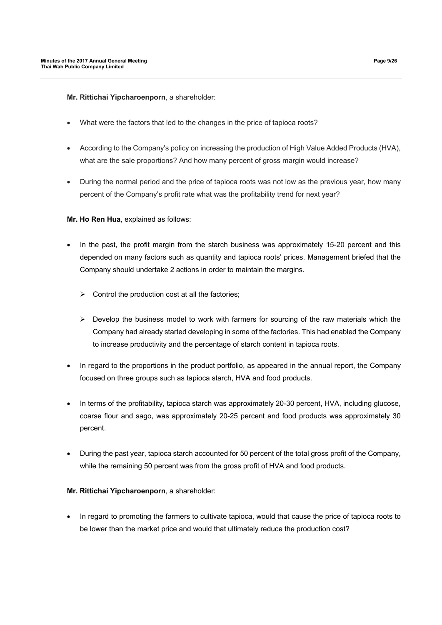**Mr. Rittichai Yipcharoenporn**, a shareholder:

- What were the factors that led to the changes in the price of tapioca roots?
- According to the Company's policy on increasing the production of High Value Added Products (HVA), what are the sale proportions? And how many percent of gross margin would increase?
- During the normal period and the price of tapioca roots was not low as the previous year, how many percent of the Company's profit rate what was the profitability trend for next year?

## **Mr. Ho Ren Hua**, explained as follows:

- In the past, the profit margin from the starch business was approximately 15-20 percent and this depended on many factors such as quantity and tapioca roots' prices. Management briefed that the Company should undertake 2 actions in order to maintain the margins.
	- $\triangleright$  Control the production cost at all the factories;
	- $\triangleright$  Develop the business model to work with farmers for sourcing of the raw materials which the Company had already started developing in some of the factories. This had enabled the Company to increase productivity and the percentage of starch content in tapioca roots.
- In regard to the proportions in the product portfolio, as appeared in the annual report, the Company focused on three groups such as tapioca starch, HVA and food products.
- In terms of the profitability, tapioca starch was approximately 20-30 percent, HVA, including glucose, coarse flour and sago, was approximately 20-25 percent and food products was approximately 30 percent.
- During the past year, tapioca starch accounted for 50 percent of the total gross profit of the Company, while the remaining 50 percent was from the gross profit of HVA and food products.

## **Mr. Rittichai Yipcharoenporn**, a shareholder:

• In regard to promoting the farmers to cultivate tapioca, would that cause the price of tapioca roots to be lower than the market price and would that ultimately reduce the production cost?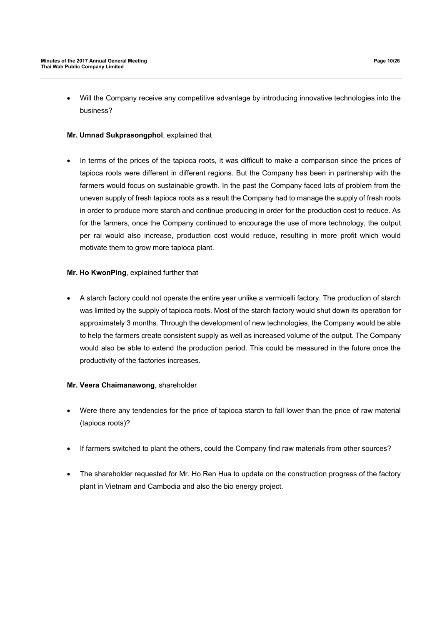Will the Company receive any competitive advantage by introducing innovative technologies into the business?

## **Mr. Umnad Sukprasongphol**, explained that

 In terms of the prices of the tapioca roots, it was difficult to make a comparison since the prices of tapioca roots were different in different regions. But the Company has been in partnership with the farmers would focus on sustainable growth. In the past the Company faced lots of problem from the uneven supply of fresh tapioca roots as a result the Company had to manage the supply of fresh roots in order to produce more starch and continue producing in order for the production cost to reduce. As for the farmers, once the Company continued to encourage the use of more technology, the output per rai would also increase, production cost would reduce, resulting in more profit which would motivate them to grow more tapioca plant.

## **Mr. Ho KwonPing**, explained further that

 A starch factory could not operate the entire year unlike a vermicelli factory. The production of starch was limited by the supply of tapioca roots. Most of the starch factory would shut down its operation for approximately 3 months. Through the development of new technologies, the Company would be able to help the farmers create consistent supply as well as increased volume of the output. The Company would also be able to extend the production period. This could be measured in the future once the productivity of the factories increases.

## **Mr. Veera Chaimanawong**, shareholder

- Were there any tendencies for the price of tapioca starch to fall lower than the price of raw material (tapioca roots)?
- If farmers switched to plant the others, could the Company find raw materials from other sources?
- The shareholder requested for Mr. Ho Ren Hua to update on the construction progress of the factory plant in Vietnam and Cambodia and also the bio energy project.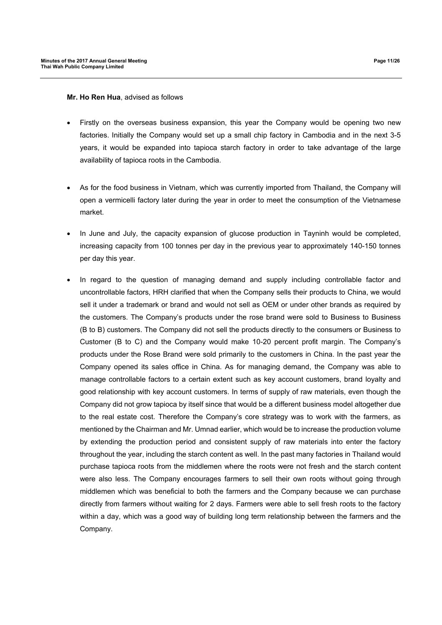**Mr. Ho Ren Hua**, advised as follows

- Firstly on the overseas business expansion, this year the Company would be opening two new factories. Initially the Company would set up a small chip factory in Cambodia and in the next 3-5 years, it would be expanded into tapioca starch factory in order to take advantage of the large availability of tapioca roots in the Cambodia.
- As for the food business in Vietnam, which was currently imported from Thailand, the Company will open a vermicelli factory later during the year in order to meet the consumption of the Vietnamese market.
- In June and July, the capacity expansion of glucose production in Tayninh would be completed, increasing capacity from 100 tonnes per day in the previous year to approximately 140-150 tonnes per day this year.
- In regard to the question of managing demand and supply including controllable factor and uncontrollable factors, HRH clarified that when the Company sells their products to China, we would sell it under a trademark or brand and would not sell as OEM or under other brands as required by the customers. The Company's products under the rose brand were sold to Business to Business (B to B) customers. The Company did not sell the products directly to the consumers or Business to Customer (B to C) and the Company would make 10-20 percent profit margin. The Company's products under the Rose Brand were sold primarily to the customers in China. In the past year the Company opened its sales office in China. As for managing demand, the Company was able to manage controllable factors to a certain extent such as key account customers, brand loyalty and good relationship with key account customers. In terms of supply of raw materials, even though the Company did not grow tapioca by itself since that would be a different business model altogether due to the real estate cost. Therefore the Company's core strategy was to work with the farmers, as mentioned by the Chairman and Mr. Umnad earlier, which would be to increase the production volume by extending the production period and consistent supply of raw materials into enter the factory throughout the year, including the starch content as well. In the past many factories in Thailand would purchase tapioca roots from the middlemen where the roots were not fresh and the starch content were also less. The Company encourages farmers to sell their own roots without going through middlemen which was beneficial to both the farmers and the Company because we can purchase directly from farmers without waiting for 2 days. Farmers were able to sell fresh roots to the factory within a day, which was a good way of building long term relationship between the farmers and the Company.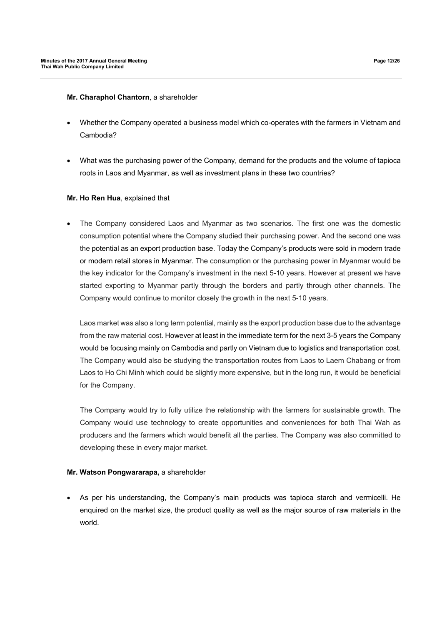### **Mr. Charaphol Chantorn**, a shareholder

- Whether the Company operated a business model which co-operates with the farmers in Vietnam and Cambodia?
- What was the purchasing power of the Company, demand for the products and the volume of tapioca roots in Laos and Myanmar, as well as investment plans in these two countries?

## **Mr. Ho Ren Hua**, explained that

 The Company considered Laos and Myanmar as two scenarios. The first one was the domestic consumption potential where the Company studied their purchasing power. And the second one was the potential as an export production base. Today the Company's products were sold in modern trade or modern retail stores in Myanmar. The consumption or the purchasing power in Myanmar would be the key indicator for the Company's investment in the next 5-10 years. However at present we have started exporting to Myanmar partly through the borders and partly through other channels. The Company would continue to monitor closely the growth in the next 5-10 years.

Laos market was also a long term potential, mainly as the export production base due to the advantage from the raw material cost. However at least in the immediate term for the next 3-5 years the Company would be focusing mainly on Cambodia and partly on Vietnam due to logistics and transportation cost. The Company would also be studying the transportation routes from Laos to Laem Chabang or from Laos to Ho Chi Minh which could be slightly more expensive, but in the long run, it would be beneficial for the Company.

The Company would try to fully utilize the relationship with the farmers for sustainable growth. The Company would use technology to create opportunities and conveniences for both Thai Wah as producers and the farmers which would benefit all the parties. The Company was also committed to developing these in every major market.

### **Mr. Watson Pongwararapa,** a shareholder

 As per his understanding, the Company's main products was tapioca starch and vermicelli. He enquired on the market size, the product quality as well as the major source of raw materials in the world.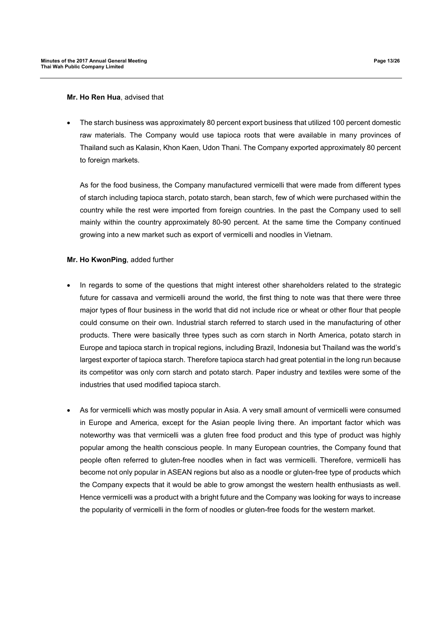#### **Mr. Ho Ren Hua**, advised that

 The starch business was approximately 80 percent export business that utilized 100 percent domestic raw materials. The Company would use tapioca roots that were available in many provinces of Thailand such as Kalasin, Khon Kaen, Udon Thani. The Company exported approximately 80 percent to foreign markets.

As for the food business, the Company manufactured vermicelli that were made from different types of starch including tapioca starch, potato starch, bean starch, few of which were purchased within the country while the rest were imported from foreign countries. In the past the Company used to sell mainly within the country approximately 80-90 percent. At the same time the Company continued growing into a new market such as export of vermicelli and noodles in Vietnam.

### **Mr. Ho KwonPing**, added further

- In regards to some of the questions that might interest other shareholders related to the strategic future for cassava and vermicelli around the world, the first thing to note was that there were three major types of flour business in the world that did not include rice or wheat or other flour that people could consume on their own. Industrial starch referred to starch used in the manufacturing of other products. There were basically three types such as corn starch in North America, potato starch in Europe and tapioca starch in tropical regions, including Brazil, Indonesia but Thailand was the world's largest exporter of tapioca starch. Therefore tapioca starch had great potential in the long run because its competitor was only corn starch and potato starch. Paper industry and textiles were some of the industries that used modified tapioca starch.
- As for vermicelli which was mostly popular in Asia. A very small amount of vermicelli were consumed in Europe and America, except for the Asian people living there. An important factor which was noteworthy was that vermicelli was a gluten free food product and this type of product was highly popular among the health conscious people. In many European countries, the Company found that people often referred to gluten-free noodles when in fact was vermicelli. Therefore, vermicelli has become not only popular in ASEAN regions but also as a noodle or gluten-free type of products which the Company expects that it would be able to grow amongst the western health enthusiasts as well. Hence vermicelli was a product with a bright future and the Company was looking for ways to increase the popularity of vermicelli in the form of noodles or gluten-free foods for the western market.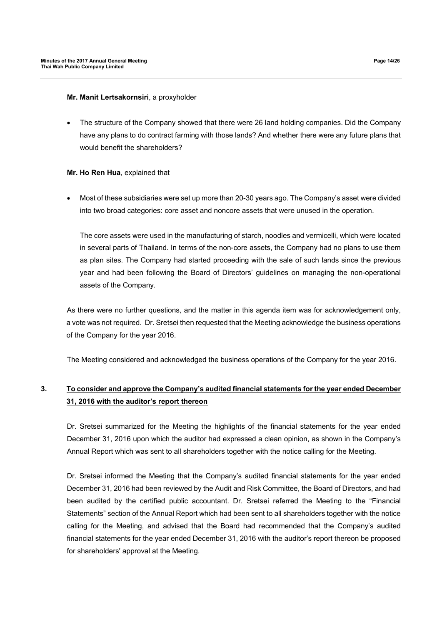### **Mr. Manit Lertsakornsiri**, a proxyholder

 The structure of the Company showed that there were 26 land holding companies. Did the Company have any plans to do contract farming with those lands? And whether there were any future plans that would benefit the shareholders?

### **Mr. Ho Ren Hua**, explained that

 Most of these subsidiaries were set up more than 20-30 years ago. The Company's asset were divided into two broad categories: core asset and noncore assets that were unused in the operation.

The core assets were used in the manufacturing of starch, noodles and vermicelli, which were located in several parts of Thailand. In terms of the non-core assets, the Company had no plans to use them as plan sites. The Company had started proceeding with the sale of such lands since the previous year and had been following the Board of Directors' guidelines on managing the non-operational assets of the Company.

As there were no further questions, and the matter in this agenda item was for acknowledgement only, a vote was not required. Dr. Sretsei then requested that the Meeting acknowledge the business operations of the Company for the year 2016.

The Meeting considered and acknowledged the business operations of the Company for the year 2016.

# **3. To consider and approve the Company's audited financial statements for the year ended December 31, 2016 with the auditor's report thereon**

Dr. Sretsei summarized for the Meeting the highlights of the financial statements for the year ended December 31, 2016 upon which the auditor had expressed a clean opinion, as shown in the Company's Annual Report which was sent to all shareholders together with the notice calling for the Meeting.

Dr. Sretsei informed the Meeting that the Company's audited financial statements for the year ended December 31, 2016 had been reviewed by the Audit and Risk Committee, the Board of Directors, and had been audited by the certified public accountant. Dr. Sretsei referred the Meeting to the "Financial Statements" section of the Annual Report which had been sent to all shareholders together with the notice calling for the Meeting, and advised that the Board had recommended that the Company's audited financial statements for the year ended December 31, 2016 with the auditor's report thereon be proposed for shareholders' approval at the Meeting.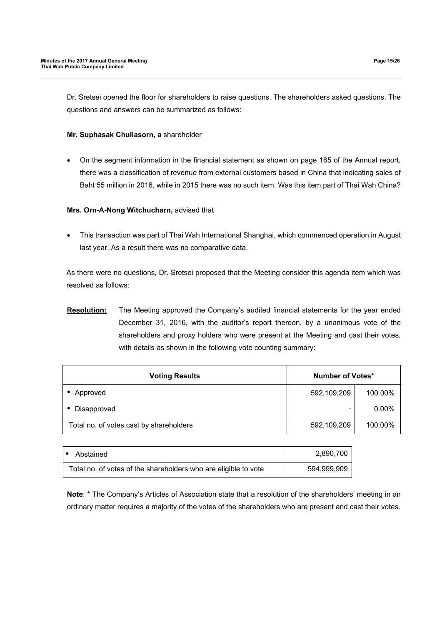Dr. Sretsei opened the floor for shareholders to raise questions. The shareholders asked questions. The questions and answers can be summarized as follows:

### **Mr. Suphasak Chullasorn, a** shareholder

 On the segment information in the financial statement as shown on page 165 of the Annual report, there was a classification of revenue from external customers based in China that indicating sales of Baht 55 million in 2016, while in 2015 there was no such item. Was this item part of Thai Wah China?

## **Mrs. Orn-A-Nong Witchucharn,** advised that

 This transaction was part of Thai Wah International Shanghai, which commenced operation in August last year. As a result there was no comparative data.

As there were no questions, Dr. Sretsei proposed that the Meeting consider this agenda item which was resolved as follows:

**Resolution:** The Meeting approved the Company's audited financial statements for the year ended December 31, 2016, with the auditor's report thereon, by a unanimous vote of the shareholders and proxy holders who were present at the Meeting and cast their votes, with details as shown in the following vote counting summary:

| <b>Voting Results</b>                   | Number of Votes* |          |
|-----------------------------------------|------------------|----------|
| Approved                                | 592,109,209      | 100.00%  |
| Disapproved                             |                  | $0.00\%$ |
| Total no. of votes cast by shareholders | 592,109,209      | 100.00%  |

| Abstained                                                       |  | 2,890,700   |
|-----------------------------------------------------------------|--|-------------|
| Total no. of votes of the shareholders who are eligible to vote |  | 594,999,909 |

**Note**: \* The Company's Articles of Association state that a resolution of the shareholders' meeting in an ordinary matter requires a majority of the votes of the shareholders who are present and cast their votes.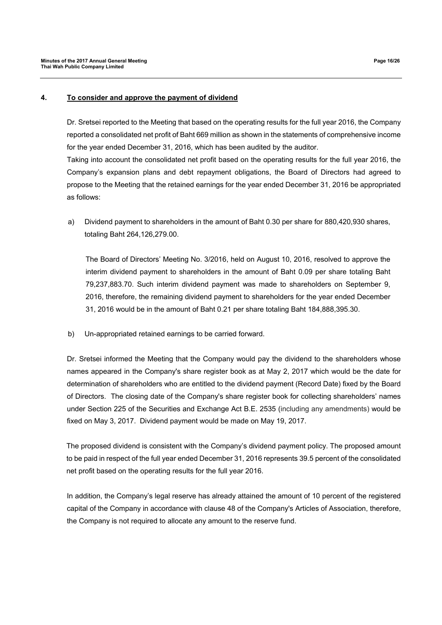### **4. To consider and approve the payment of dividend**

Dr. Sretsei reported to the Meeting that based on the operating results for the full year 2016, the Company reported a consolidated net profit of Baht 669 million as shown in the statements of comprehensive income for the year ended December 31, 2016, which has been audited by the auditor.

Taking into account the consolidated net profit based on the operating results for the full year 2016, the Company's expansion plans and debt repayment obligations, the Board of Directors had agreed to propose to the Meeting that the retained earnings for the year ended December 31, 2016 be appropriated as follows:

a) Dividend payment to shareholders in the amount of Baht 0.30 per share for 880,420,930 shares, totaling Baht 264,126,279.00.

The Board of Directors' Meeting No. 3/2016, held on August 10, 2016, resolved to approve the interim dividend payment to shareholders in the amount of Baht 0.09 per share totaling Baht 79,237,883.70. Such interim dividend payment was made to shareholders on September 9, 2016, therefore, the remaining dividend payment to shareholders for the year ended December 31, 2016 would be in the amount of Baht 0.21 per share totaling Baht 184,888,395.30.

b) Un-appropriated retained earnings to be carried forward.

Dr. Sretsei informed the Meeting that the Company would pay the dividend to the shareholders whose names appeared in the Company's share register book as at May 2, 2017 which would be the date for determination of shareholders who are entitled to the dividend payment (Record Date) fixed by the Board of Directors. The closing date of the Company's share register book for collecting shareholders' names under Section 225 of the Securities and Exchange Act B.E. 2535 (including any amendments) would be fixed on May 3, 2017. Dividend payment would be made on May 19, 2017.

The proposed dividend is consistent with the Company's dividend payment policy. The proposed amount to be paid in respect of the full year ended December 31, 2016 represents 39.5 percent of the consolidated net profit based on the operating results for the full year 2016.

In addition, the Company's legal reserve has already attained the amount of 10 percent of the registered capital of the Company in accordance with clause 48 of the Company's Articles of Association, therefore, the Company is not required to allocate any amount to the reserve fund.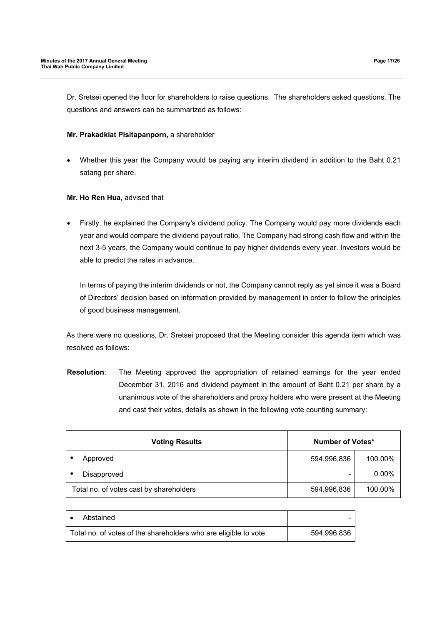Dr. Sretsei opened the floor for shareholders to raise questions. The shareholders asked questions. The questions and answers can be summarized as follows:

### **Mr. Prakadkiat Pisitapanporn,** a shareholder

 Whether this year the Company would be paying any interim dividend in addition to the Baht 0.21 satang per share.

### **Mr. Ho Ren Hua,** advised that

 Firstly, he explained the Company's dividend policy. The Company would pay more dividends each year and would compare the dividend payout ratio. The Company had strong cash flow and within the next 3-5 years, the Company would continue to pay higher dividends every year. Investors would be able to predict the rates in advance.

In terms of paying the interim dividends or not, the Company cannot reply as yet since it was a Board of Directors' decision based on information provided by management in order to follow the principles of good business management.

As there were no questions, Dr. Sretsei proposed that the Meeting consider this agenda item which was resolved as follows:

**Resolution**: The Meeting approved the appropriation of retained earnings for the year ended December 31, 2016 and dividend payment in the amount of Baht 0.21 per share by a unanimous vote of the shareholders and proxy holders who were present at the Meeting and cast their votes, details as shown in the following vote counting summary:

| <b>Voting Results</b> |                                         | Number of Votes* |          |
|-----------------------|-----------------------------------------|------------------|----------|
|                       | Approved                                | 594,996,836      | 100.00%  |
|                       | Disapproved                             | -                | $0.00\%$ |
|                       | Total no. of votes cast by shareholders | 594,996,836      | 100.00%  |

| Abstained                                                       |             |
|-----------------------------------------------------------------|-------------|
| Total no. of votes of the shareholders who are eligible to vote | 594.996.836 |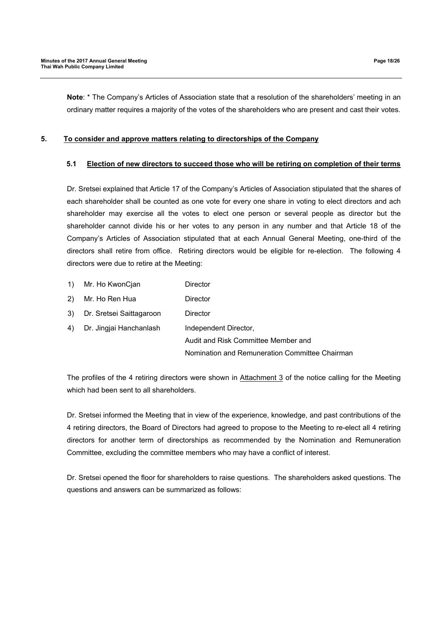**Note**: \* The Company's Articles of Association state that a resolution of the shareholders' meeting in an ordinary matter requires a majority of the votes of the shareholders who are present and cast their votes.

### **5. To consider and approve matters relating to directorships of the Company**

### **5.1 Election of new directors to succeed those who will be retiring on completion of their terms**

Dr. Sretsei explained that Article 17 of the Company's Articles of Association stipulated that the shares of each shareholder shall be counted as one vote for every one share in voting to elect directors and ach shareholder may exercise all the votes to elect one person or several people as director but the shareholder cannot divide his or her votes to any person in any number and that Article 18 of the Company's Articles of Association stipulated that at each Annual General Meeting, one-third of the directors shall retire from office. Retiring directors would be eligible for re-election. The following 4 directors were due to retire at the Meeting:

| $\left( \begin{matrix} 1 \end{matrix} \right)$ | Mr. Ho KwonCjan          | Director                                       |
|------------------------------------------------|--------------------------|------------------------------------------------|
| 2)                                             | Mr. Ho Ren Hua           | Director                                       |
| 3)                                             | Dr. Sretsei Saittagaroon | Director                                       |
| 4)                                             | Dr. Jingjai Hanchanlash  | Independent Director,                          |
|                                                |                          | Audit and Risk Committee Member and            |
|                                                |                          | Nomination and Remuneration Committee Chairman |

The profiles of the 4 retiring directors were shown in Attachment 3 of the notice calling for the Meeting which had been sent to all shareholders.

Dr. Sretsei informed the Meeting that in view of the experience, knowledge, and past contributions of the 4 retiring directors, the Board of Directors had agreed to propose to the Meeting to re-elect all 4 retiring directors for another term of directorships as recommended by the Nomination and Remuneration Committee, excluding the committee members who may have a conflict of interest.

Dr. Sretsei opened the floor for shareholders to raise questions. The shareholders asked questions. The questions and answers can be summarized as follows: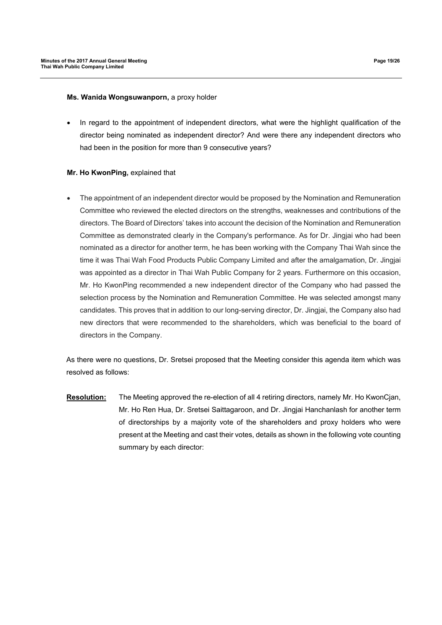#### **Ms. Wanida Wongsuwanporn,** a proxy holder

 In regard to the appointment of independent directors, what were the highlight qualification of the director being nominated as independent director? And were there any independent directors who had been in the position for more than 9 consecutive years?

### **Mr. Ho KwonPing,** explained that

 The appointment of an independent director would be proposed by the Nomination and Remuneration Committee who reviewed the elected directors on the strengths, weaknesses and contributions of the directors. The Board of Directors' takes into account the decision of the Nomination and Remuneration Committee as demonstrated clearly in the Company's performance. As for Dr. Jingjai who had been nominated as a director for another term, he has been working with the Company Thai Wah since the time it was Thai Wah Food Products Public Company Limited and after the amalgamation, Dr. Jingjai was appointed as a director in Thai Wah Public Company for 2 years. Furthermore on this occasion, Mr. Ho KwonPing recommended a new independent director of the Company who had passed the selection process by the Nomination and Remuneration Committee. He was selected amongst many candidates. This proves that in addition to our long-serving director, Dr. Jingjai, the Company also had new directors that were recommended to the shareholders, which was beneficial to the board of directors in the Company.

As there were no questions, Dr. Sretsei proposed that the Meeting consider this agenda item which was resolved as follows:

**Resolution:** The Meeting approved the re-election of all 4 retiring directors, namely Mr. Ho KwonCjan, Mr. Ho Ren Hua, Dr. Sretsei Saittagaroon, and Dr. Jingjai Hanchanlash for another term of directorships by a majority vote of the shareholders and proxy holders who were present at the Meeting and cast their votes, details as shown in the following vote counting summary by each director: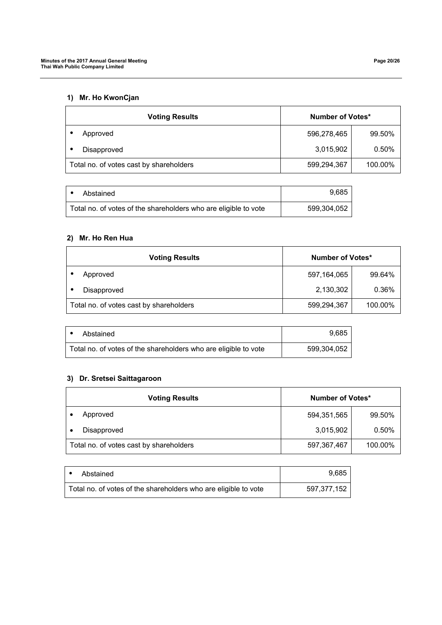# **1) Mr. Ho KwonCjan**

| <b>Voting Results</b>                   | Number of Votes* |         |
|-----------------------------------------|------------------|---------|
| Approved                                | 596,278,465      | 99.50%  |
| Disapproved                             | 3,015,902        | 0.50%   |
| Total no. of votes cast by shareholders | 599,294,367      | 100.00% |

| Abstained                                                       | 9.685       |
|-----------------------------------------------------------------|-------------|
| Total no. of votes of the shareholders who are eligible to vote | 599.304.052 |

# **2) Mr. Ho Ren Hua**

| <b>Voting Results</b>                   | Number of Votes* |         |
|-----------------------------------------|------------------|---------|
| Approved                                | 597,164,065      | 99.64%  |
| Disapproved                             | 2,130,302        | 0.36%   |
| Total no. of votes cast by shareholders | 599,294,367      | 100.00% |

| Abstained                                                       | 9.685       |
|-----------------------------------------------------------------|-------------|
| Total no. of votes of the shareholders who are eligible to vote | 599,304,052 |

# **3) Dr. Sretsei Saittagaroon**

| <b>Voting Results</b>                   | Number of Votes* |         |
|-----------------------------------------|------------------|---------|
| Approved                                | 594,351,565      | 99.50%  |
| Disapproved                             | 3,015,902        | 0.50%   |
| Total no. of votes cast by shareholders | 597,367,467      | 100.00% |

| Abstained                                                       | 9.685       |
|-----------------------------------------------------------------|-------------|
| Total no. of votes of the shareholders who are eligible to vote | 597,377,152 |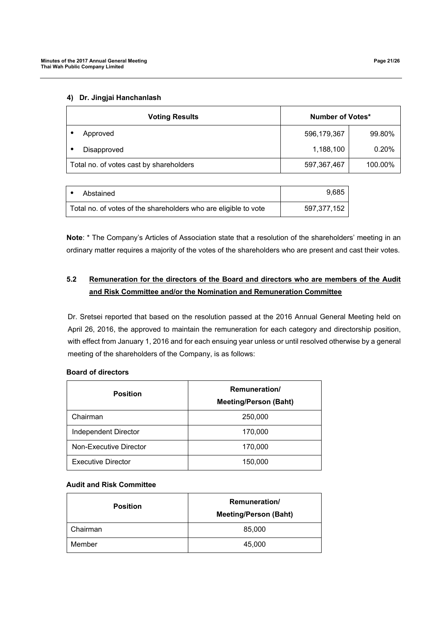## **4) Dr. Jingjai Hanchanlash**

| <b>Voting Results</b>                   | Number of Votes* |         |
|-----------------------------------------|------------------|---------|
| Approved                                | 596,179,367      | 99.80%  |
| Disapproved                             | 1,188,100        | 0.20%   |
| Total no. of votes cast by shareholders | 597,367,467      | 100.00% |

| Abstained                                                       | 9.685       |
|-----------------------------------------------------------------|-------------|
| Total no. of votes of the shareholders who are eligible to vote | 597,377,152 |

**Note**: \* The Company's Articles of Association state that a resolution of the shareholders' meeting in an ordinary matter requires a majority of the votes of the shareholders who are present and cast their votes.

# **5.2 Remuneration for the directors of the Board and directors who are members of the Audit and Risk Committee and/or the Nomination and Remuneration Committee**

Dr. Sretsei reported that based on the resolution passed at the 2016 Annual General Meeting held on April 26, 2016, the approved to maintain the remuneration for each category and directorship position, with effect from January 1, 2016 and for each ensuing year unless or until resolved otherwise by a general meeting of the shareholders of the Company, is as follows:

## **Board of directors**

| <b>Position</b>           | <b>Remuneration</b> /<br><b>Meeting/Person (Baht)</b> |  |
|---------------------------|-------------------------------------------------------|--|
| Chairman                  | 250,000                                               |  |
| Independent Director      | 170,000                                               |  |
| Non-Executive Director    | 170,000                                               |  |
| <b>Executive Director</b> | 150,000                                               |  |

## **Audit and Risk Committee**

| <b>Position</b> | <b>Remuneration/</b><br><b>Meeting/Person (Baht)</b> |  |
|-----------------|------------------------------------------------------|--|
| Chairman        | 85,000                                               |  |
| Member          | 45,000                                               |  |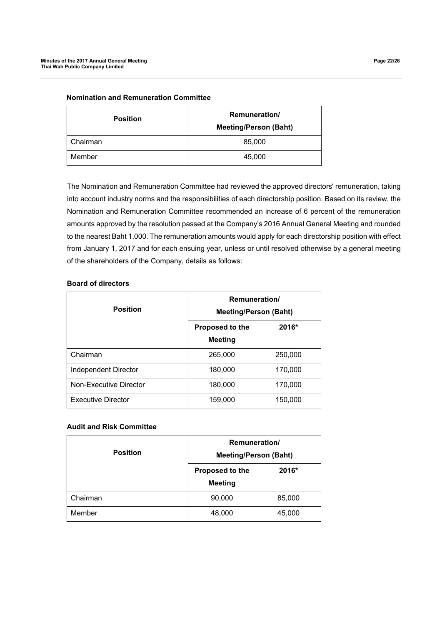| <b>Position</b> | <b>Remuneration/</b><br><b>Meeting/Person (Baht)</b> |
|-----------------|------------------------------------------------------|
| Chairman        | 85,000                                               |
| Member          | 45,000                                               |

**Nomination and Remuneration Committee** 

The Nomination and Remuneration Committee had reviewed the approved directors' remuneration, taking into account industry norms and the responsibilities of each directorship position. Based on its review, the Nomination and Remuneration Committee recommended an increase of 6 percent of the remuneration amounts approved by the resolution passed at the Company's 2016 Annual General Meeting and rounded to the nearest Baht 1,000. The remuneration amounts would apply for each directorship position with effect from January 1, 2017 and for each ensuing year, unless or until resolved otherwise by a general meeting of the shareholders of the Company, details as follows:

| <b>Position</b>           | Remuneration/<br><b>Meeting/Person (Baht)</b> |         |
|---------------------------|-----------------------------------------------|---------|
|                           | Proposed to the<br><b>Meeting</b>             | 2016*   |
| Chairman                  | 265,000                                       | 250,000 |
| Independent Director      | 180,000                                       | 170,000 |
| Non-Executive Director    | 180,000                                       | 170,000 |
| <b>Executive Director</b> | 159,000                                       | 150,000 |

## **Board of directors**

## **Audit and Risk Committee**

| <b>Position</b> | <b>Remuneration/</b><br><b>Meeting/Person (Baht)</b> |        |
|-----------------|------------------------------------------------------|--------|
|                 | Proposed to the<br><b>Meeting</b>                    | 2016*  |
| Chairman        | 90,000                                               | 85,000 |
| Member          | 48,000                                               | 45,000 |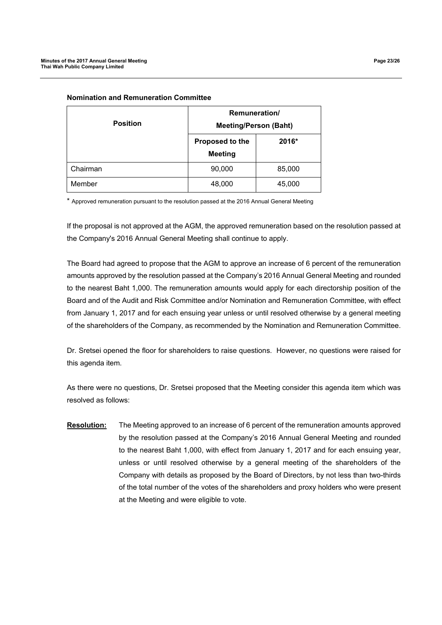| <b>Position</b> | Remuneration/<br><b>Meeting/Person (Baht)</b> |        |
|-----------------|-----------------------------------------------|--------|
|                 | Proposed to the<br><b>Meeting</b>             | 2016*  |
| Chairman        | 90,000                                        | 85,000 |
| Member          | 48,000                                        | 45,000 |

### **Nomination and Remuneration Committee**

\* Approved remuneration pursuant to the resolution passed at the 2016 Annual General Meeting

If the proposal is not approved at the AGM, the approved remuneration based on the resolution passed at the Company's 2016 Annual General Meeting shall continue to apply.

The Board had agreed to propose that the AGM to approve an increase of 6 percent of the remuneration amounts approved by the resolution passed at the Company's 2016 Annual General Meeting and rounded to the nearest Baht 1,000. The remuneration amounts would apply for each directorship position of the Board and of the Audit and Risk Committee and/or Nomination and Remuneration Committee, with effect from January 1, 2017 and for each ensuing year unless or until resolved otherwise by a general meeting of the shareholders of the Company, as recommended by the Nomination and Remuneration Committee.

Dr. Sretsei opened the floor for shareholders to raise questions. However, no questions were raised for this agenda item.

As there were no questions, Dr. Sretsei proposed that the Meeting consider this agenda item which was resolved as follows:

**Resolution:** The Meeting approved to an increase of 6 percent of the remuneration amounts approved by the resolution passed at the Company's 2016 Annual General Meeting and rounded to the nearest Baht 1,000, with effect from January 1, 2017 and for each ensuing year, unless or until resolved otherwise by a general meeting of the shareholders of the Company with details as proposed by the Board of Directors, by not less than two-thirds of the total number of the votes of the shareholders and proxy holders who were present at the Meeting and were eligible to vote.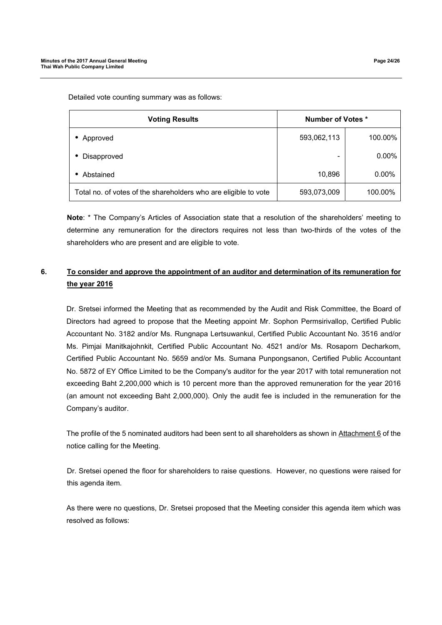Detailed vote counting summary was as follows:

| <b>Voting Results</b>                                           | <b>Number of Votes *</b> |          |
|-----------------------------------------------------------------|--------------------------|----------|
| Approved                                                        | 593,062,113              | 100.00%  |
| Disapproved                                                     |                          | $0.00\%$ |
| Abstained                                                       | 10,896                   | $0.00\%$ |
| Total no. of votes of the shareholders who are eligible to vote | 593,073,009              | 100.00%  |

**Note**: \* The Company's Articles of Association state that a resolution of the shareholders' meeting to determine any remuneration for the directors requires not less than two-thirds of the votes of the shareholders who are present and are eligible to vote.

# **6. To consider and approve the appointment of an auditor and determination of its remuneration for the year 2016**

Dr. Sretsei informed the Meeting that as recommended by the Audit and Risk Committee, the Board of Directors had agreed to propose that the Meeting appoint Mr. Sophon Permsirivallop, Certified Public Accountant No. 3182 and/or Ms. Rungnapa Lertsuwankul, Certified Public Accountant No. 3516 and/or Ms. Pimjai Manitkajohnkit, Certified Public Accountant No. 4521 and/or Ms. Rosaporn Decharkom, Certified Public Accountant No. 5659 and/or Ms. Sumana Punpongsanon, Certified Public Accountant No. 5872 of EY Office Limited to be the Company's auditor for the year 2017 with total remuneration not exceeding Baht 2,200,000 which is 10 percent more than the approved remuneration for the year 2016 (an amount not exceeding Baht 2,000,000). Only the audit fee is included in the remuneration for the Company's auditor.

The profile of the 5 nominated auditors had been sent to all shareholders as shown in Attachment 6 of the notice calling for the Meeting.

Dr. Sretsei opened the floor for shareholders to raise questions. However, no questions were raised for this agenda item.

As there were no questions, Dr. Sretsei proposed that the Meeting consider this agenda item which was resolved as follows: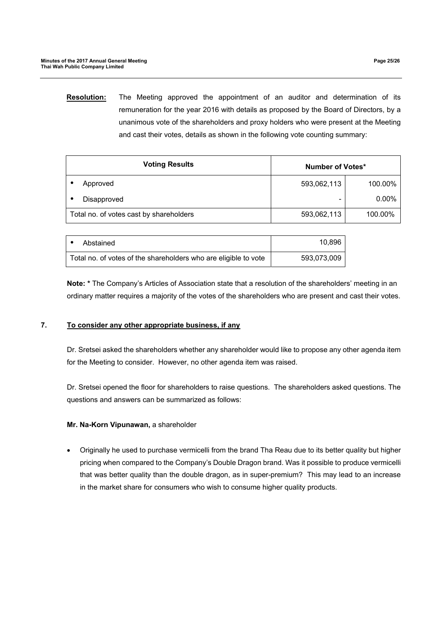**Resolution:** The Meeting approved the appointment of an auditor and determination of its remuneration for the year 2016 with details as proposed by the Board of Directors, by a unanimous vote of the shareholders and proxy holders who were present at the Meeting and cast their votes, details as shown in the following vote counting summary:

| <b>Voting Results</b>                   | Number of Votes* |          |
|-----------------------------------------|------------------|----------|
| Approved                                | 593,062,113      | 100.00%  |
| Disapproved                             |                  | $0.00\%$ |
| Total no. of votes cast by shareholders | 593,062,113      | 100.00%  |

| Abstained                                                       | 10.896      |
|-----------------------------------------------------------------|-------------|
| Total no. of votes of the shareholders who are eligible to vote | 593,073,009 |

**Note: \*** The Company's Articles of Association state that a resolution of the shareholders' meeting in an ordinary matter requires a majority of the votes of the shareholders who are present and cast their votes.

# **7. To consider any other appropriate business, if any**

Dr. Sretsei asked the shareholders whether any shareholder would like to propose any other agenda item for the Meeting to consider. However, no other agenda item was raised.

Dr. Sretsei opened the floor for shareholders to raise questions. The shareholders asked questions. The questions and answers can be summarized as follows:

## **Mr. Na-Korn Vipunawan,** a shareholder

 Originally he used to purchase vermicelli from the brand Tha Reau due to its better quality but higher pricing when compared to the Company's Double Dragon brand. Was it possible to produce vermicelli that was better quality than the double dragon, as in super-premium? This may lead to an increase in the market share for consumers who wish to consume higher quality products.